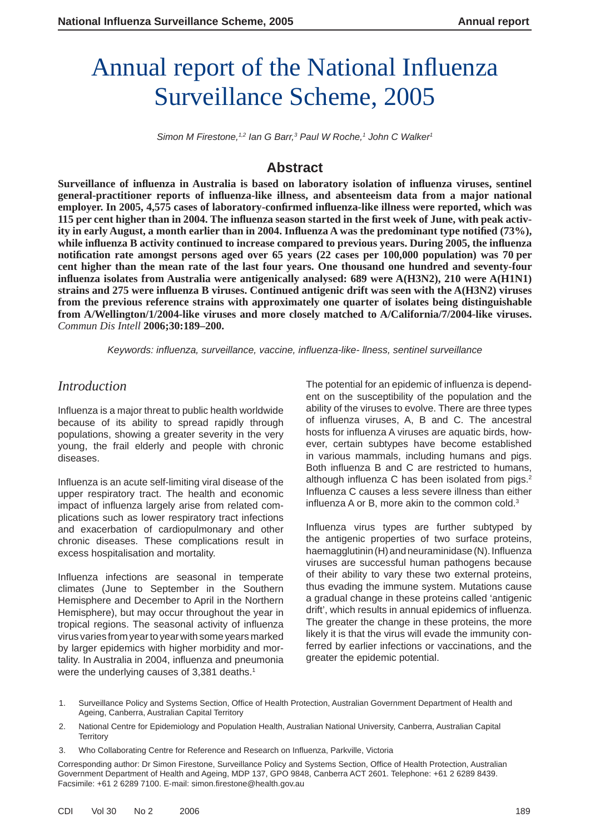# Annual report of the National Influenza Surveillance Scheme, 2005

Simon M Firestone,<sup>1,2</sup> Ian G Barr,<sup>3</sup> Paul W Roche,<sup>1</sup> John C Walker<sup>1</sup>

# **Abstract**

**Surveillance of infl uenza in Australia is based on laboratory isolation of infl uenza viruses, sentinel general-practitioner reports of infl uenza-like illness, and absenteeism data from a major national employer. In 2005, 4,575 cases of laboratory-confi rmed infl uenza-like illness were reported, which was 115 per cent higher than in 2004. The infl uenza season started in the fi rst week of June, with peak activity in early August, a month earlier than in 2004. Influenza A was the predominant type notified (73%), while infl uenza B activity continued to increase compared to previous years. During 2005, the infl uenza notification rate amongst persons aged over 65 years (22 cases per 100,000 population) was 70 per cent higher than the mean rate of the last four years. One thousand one hundred and seventy-four influenza isolates from Australia were antigenically analysed: 689 were A(H3N2), 210 were A(H1N1) strains and 275 were infl uenza B viruses. Continued antigenic drift was seen with the A(H3N2) viruses from the previous reference strains with approximately one quarter of isolates being distinguishable from A/Wellington/1/2004-like viruses and more closely matched to A/California/7/2004-like viruses.**  *Commun Dis Intell* **2006;30:189–200.**

*Keywords: infl uenza, surveillance, vaccine, infl uenza-like- llness, sentinel surveillance*

# *Introduction*

Influenza is a major threat to public health worldwide because of its ability to spread rapidly through populations, showing a greater severity in the very young, the frail elderly and people with chronic diseases.

Influenza is an acute self-limiting viral disease of the upper respiratory tract. The health and economic impact of influenza largely arise from related complications such as lower respiratory tract infections and exacerbation of cardiopulmonary and other chronic diseases. These complications result in excess hospitalisation and mortality.

Influenza infections are seasonal in temperate climates (June to September in the Southern Hemisphere and December to April in the Northern Hemisphere), but may occur throughout the year in tropical regions. The seasonal activity of influenza virus varies from year to year with some years marked by larger epidemics with higher morbidity and mortality. In Australia in 2004, influenza and pneumonia were the underlying causes of 3,381 deaths.<sup>1</sup>

The potential for an epidemic of influenza is dependent on the susceptibility of the population and the ability of the viruses to evolve. There are three types of influenza viruses, A, B and C. The ancestral hosts for influenza A viruses are aquatic birds, however, certain subtypes have become established in various mammals, including humans and pigs. Both influenza B and C are restricted to humans, although influenza C has been isolated from pigs. $2$ Influenza C causes a less severe illness than either influenza A or B, more akin to the common cold. $3$ 

Influenza virus types are further subtyped by the antigenic properties of two surface proteins, haemagglutinin (H) and neuraminidase (N). Influenza viruses are successful human pathogens because of their ability to vary these two external proteins, thus evading the immune system. Mutations cause a gradual change in these proteins called 'antigenic drift', which results in annual epidemics of influenza. The greater the change in these proteins, the more likely it is that the virus will evade the immunity conferred by earlier infections or vaccinations, and the greater the epidemic potential.

- 1. Surveillance Policy and Systems Section, Office of Health Protection, Australian Government Department of Health and Ageing, Canberra, Australian Capital Territory
- 2. National Centre for Epidemiology and Population Health, Australian National University, Canberra, Australian Capital **Territory**
- 3. Who Collaborating Centre for Reference and Research on Influenza, Parkville, Victoria

Corresponding author: Dr Simon Firestone, Surveillance Policy and Systems Section, Office of Health Protection, Australian Government Department of Health and Ageing, MDP 137, GPO 9848, Canberra ACT 2601. Telephone: +61 2 6289 8439. Facsimile: +61 2 6289 7100. E-mail: simon.firestone@health.gov.au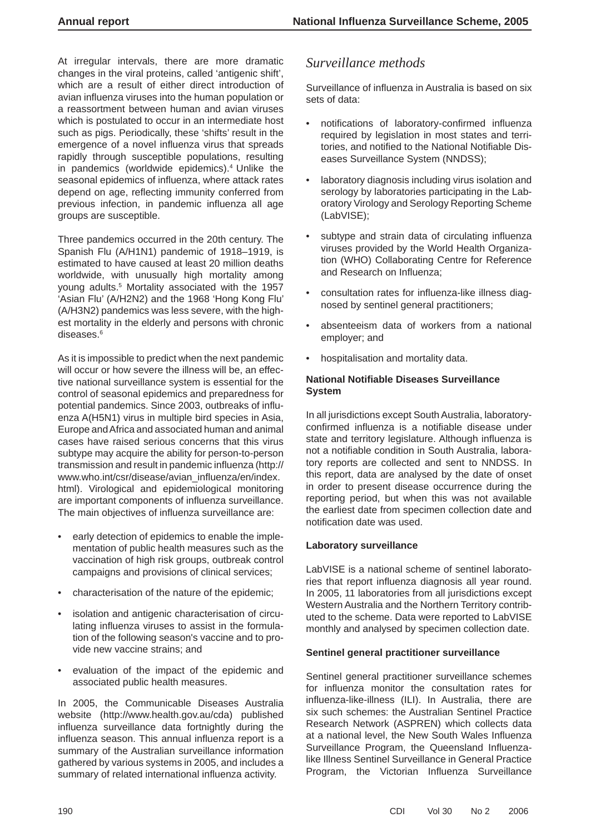At irregular intervals, there are more dramatic changes in the viral proteins, called 'antigenic shift', which are a result of either direct introduction of avian influenza viruses into the human population or a reassortment between human and avian viruses which is postulated to occur in an intermediate host such as pigs. Periodically, these 'shifts' result in the emergence of a novel influenza virus that spreads rapidly through susceptible populations, resulting in pandemics (worldwide epidemics).<sup>4</sup> Unlike the seasonal epidemics of influenza, where attack rates depend on age, reflecting immunity conferred from previous infection, in pandemic influenza all age groups are susceptible.

Three pandemics occurred in the 20th century. The Spanish Flu (A/H1N1) pandemic of 1918–1919, is estimated to have caused at least 20 million deaths worldwide, with unusually high mortality among young adults.5 Mortality associated with the 1957 'Asian Flu' (A/H2N2) and the 1968 'Hong Kong Flu' (A/H3N2) pandemics was less severe, with the highest mortality in the elderly and persons with chronic diseases.6

As it is impossible to predict when the next pandemic will occur or how severe the illness will be, an effective national surveillance system is essential for the control of seasonal epidemics and preparedness for potential pandemics. Since 2003, outbreaks of influenza A(H5N1) virus in multiple bird species in Asia, Europe and Africa and associated human and animal cases have raised serious concerns that this virus subtype may acquire the ability for person-to-person transmission and result in pandemic influenza (http:// www.who.int/csr/disease/avian\_influenza/en/index. html). Virological and epidemiological monitoring are important components of influenza surveillance. The main objectives of influenza surveillance are:

- early detection of epidemics to enable the implementation of public health measures such as the vaccination of high risk groups, outbreak control campaigns and provisions of clinical services;
- characterisation of the nature of the epidemic;
- isolation and antigenic characterisation of circulating influenza viruses to assist in the formulation of the following season's vaccine and to provide new vaccine strains; and
- evaluation of the impact of the epidemic and associated public health measures.

In 2005, the Communicable Diseases Australia website (http://www.health.gov.au/cda) published influenza surveillance data fortnightly during the influenza season. This annual influenza report is a summary of the Australian surveillance information gathered by various systems in 2005, and includes a summary of related international influenza activity.

# *Surveillance methods*

Surveillance of influenza in Australia is based on six sets of data:

- notifications of laboratory-confirmed influenza required by legislation in most states and territories, and notified to the National Notifiable Diseases Surveillance System (NNDSS);
- laboratory diagnosis including virus isolation and serology by laboratories participating in the Laboratory Virology and Serology Reporting Scheme (LabVISE);
- subtype and strain data of circulating influenza viruses provided by the World Health Organization (WHO) Collaborating Centre for Reference and Research on Influenza:
- consultation rates for influenza-like illness diagnosed by sentinel general practitioners;
- absenteeism data of workers from a national employer; and
- hospitalisation and mortality data.

#### **National Notifi able Diseases Surveillance System**

In all jurisdictions except South Australia, laboratoryconfirmed influenza is a notifiable disease under state and territory legislature. Although influenza is not a notifiable condition in South Australia, laboratory reports are collected and sent to NNDSS. In this report, data are analysed by the date of onset in order to present disease occurrence during the reporting period, but when this was not available the earliest date from specimen collection date and notification date was used.

#### **Laboratory surveillance**

LabVISE is a national scheme of sentinel laboratories that report influenza diagnosis all year round. In 2005, 11 laboratories from all jurisdictions except Western Australia and the Northern Territory contributed to the scheme. Data were reported to LabVISE monthly and analysed by specimen collection date.

#### **Sentinel general practitioner surveillance**

Sentinel general practitioner surveillance schemes for influenza monitor the consultation rates for influenza-like-illness (ILI). In Australia, there are six such schemes: the Australian Sentinel Practice Research Network (ASPREN) which collects data at a national level, the New South Wales Influenza Surveillance Program, the Queensland Influenzalike Illness Sentinel Surveillance in General Practice Program, the Victorian Influenza Surveillance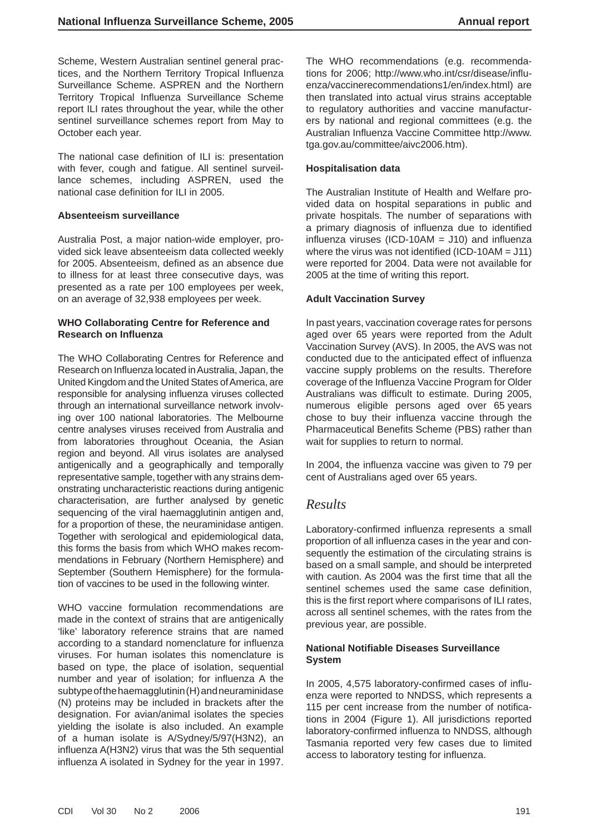Scheme, Western Australian sentinel general practices, and the Northern Territory Tropical Influenza Surveillance Scheme. ASPREN and the Northern Territory Tropical Influenza Surveillance Scheme report ILI rates throughout the year, while the other sentinel surveillance schemes report from May to October each year.

The national case definition of ILI is: presentation with fever, cough and fatigue. All sentinel surveillance schemes, including ASPREN, used the national case definition for ILI in 2005.

#### **Absenteeism surveillance**

Australia Post, a major nation-wide employer, provided sick leave absenteeism data collected weekly for 2005. Absenteeism, defined as an absence due to illness for at least three consecutive days, was presented as a rate per 100 employees per week, on an average of 32,938 employees per week.

#### **WHO Collaborating Centre for Reference and Research on Infl uenza**

The WHO Collaborating Centres for Reference and Research on Influenza located in Australia, Japan, the United Kingdom and the United States of America, are responsible for analysing influenza viruses collected through an international surveillance network involving over 100 national laboratories. The Melbourne centre analyses viruses received from Australia and from laboratories throughout Oceania, the Asian region and beyond. All virus isolates are analysed antigenically and a geographically and temporally representative sample, together with any strains demonstrating uncharacteristic reactions during antigenic characterisation, are further analysed by genetic sequencing of the viral haemagglutinin antigen and, for a proportion of these, the neuraminidase antigen. Together with serological and epidemiological data, this forms the basis from which WHO makes recommendations in February (Northern Hemisphere) and September (Southern Hemisphere) for the formulation of vaccines to be used in the following winter.

WHO vaccine formulation recommendations are made in the context of strains that are antigenically 'like' laboratory reference strains that are named according to a standard nomenclature for influenza viruses. For human isolates this nomenclature is based on type, the place of isolation, sequential number and year of isolation; for influenza A the subtype of the haemagglutinin (H) and neuraminidase (N) proteins may be included in brackets after the designation. For avian/animal isolates the species yielding the isolate is also included. An example of a human isolate is A/Sydney/5/97(H3N2), an influenza A(H3N2) virus that was the 5th sequential influenza A isolated in Sydney for the year in 1997.

The WHO recommendations (e.g. recommendations for 2006; http://www.who.int/csr/disease/influenza/vaccinerecommendations1/en/index.html) are then translated into actual virus strains acceptable to regulatory authorities and vaccine manufacturers by national and regional committees (e.g. the Australian Influenza Vaccine Committee http://www. tga.gov.au/committee/aivc2006.htm).

#### **Hospitalisation data**

The Australian Institute of Health and Welfare provided data on hospital separations in public and private hospitals. The number of separations with a primary diagnosis of influenza due to identified influenza viruses (ICD-10AM =  $J10$ ) and influenza where the virus was not identified (ICD-10AM =  $J11$ ) were reported for 2004. Data were not available for 2005 at the time of writing this report.

#### **Adult Vaccination Survey**

In past years, vaccination coverage rates for persons aged over 65 years were reported from the Adult Vaccination Survey (AVS). In 2005, the AVS was not conducted due to the anticipated effect of influenza vaccine supply problems on the results. Therefore coverage of the Influenza Vaccine Program for Older Australians was difficult to estimate. During 2005, numerous eligible persons aged over 65 years chose to buy their influenza vaccine through the Pharmaceutical Benefits Scheme (PBS) rather than wait for supplies to return to normal.

In 2004, the influenza vaccine was given to 79 per cent of Australians aged over 65 years.

#### *Results*

Laboratory-confirmed influenza represents a small proportion of all influenza cases in the year and consequently the estimation of the circulating strains is based on a small sample, and should be interpreted with caution. As 2004 was the first time that all the sentinel schemes used the same case definition, this is the first report where comparisons of ILI rates, across all sentinel schemes, with the rates from the previous year, are possible.

#### **National Notifi able Diseases Surveillance System**

In 2005, 4,575 laboratory-confirmed cases of influenza were reported to NNDSS, which represents a 115 per cent increase from the number of notifications in 2004 (Figure 1). All jurisdictions reported laboratory-confirmed influenza to NNDSS, although Tasmania reported very few cases due to limited access to laboratory testing for influenza.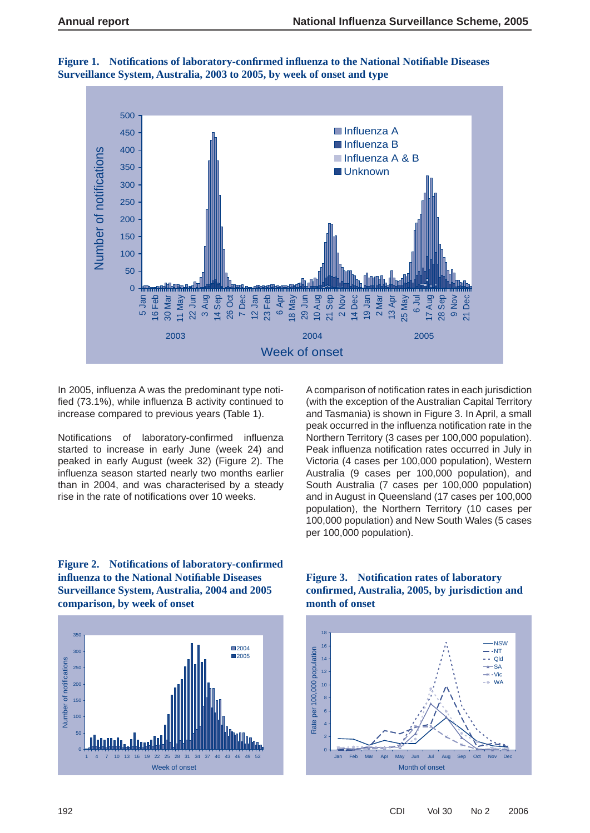

**Figure 1. Notifi cations of laboratory-confi rmed infl uenza to the National Notifi able Diseases Surveillance System, Australia, 2003 to 2005, by week of onset and type**

In 2005, influenza A was the predominant type notified  $(73.1\%)$ , while influenza B activity continued to increase compared to previous years (Table 1).

Notifications of laboratory-confirmed influenza started to increase in early June (week 24) and peaked in early August (week 32) (Figure 2). The influenza season started nearly two months earlier than in 2004, and was characterised by a steady rise in the rate of notifications over 10 weeks.

A comparison of notification rates in each jurisdiction (with the exception of the Australian Capital Territory and Tasmania) is shown in Figure 3. In April, a small peak occurred in the influenza notification rate in the Northern Territory (3 cases per 100,000 population). Peak influenza notification rates occurred in July in Victoria (4 cases per 100,000 population), Western Australia (9 cases per 100,000 population), and South Australia (7 cases per 100,000 population) and in August in Queensland (17 cases per 100,000 population), the Northern Territory (10 cases per 100,000 population) and New South Wales (5 cases per 100,000 population).





#### **Figure 3. Notification rates of laboratory confi rmed, Australia, 2005, by jurisdiction and month of onset**

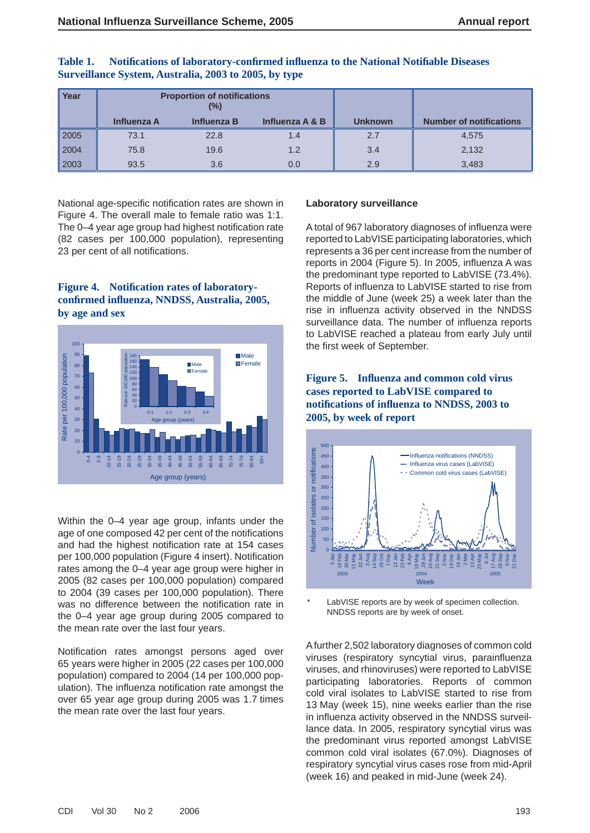| Year | <b>Proportion of notifications</b><br>(%) |                    |                 |                |                                |
|------|-------------------------------------------|--------------------|-----------------|----------------|--------------------------------|
|      | <b>Influenza A</b>                        | <b>Influenza B</b> | Influenza A & B | <b>Unknown</b> | <b>Number of notifications</b> |
| 2005 | 73.1                                      | 22.8               | 1.4             | 2.7            | 4,575                          |
| 2004 | 75.8                                      | 19.6               | 1.2             | 3.4            | 2,132                          |
| 2003 | 93.5                                      | 3.6                | 0.0             | 2.9            | 3,483                          |

| Table 1. | Notifications of laboratory-confirmed influenza to the National Notifiable Diseases |
|----------|-------------------------------------------------------------------------------------|
|          | Surveillance System, Australia, 2003 to 2005, by type                               |

National age-specific notification rates are shown in Figure 4. The overall male to female ratio was 1:1. The 0–4 year age group had highest notification rate (82 cases per 100,000 population), representing 23 per cent of all notifications.

#### **Figure 4.** Notification rates of laboratory**confi rmed infl uenza, NNDSS, Australia, 2005, by age and sex**



Within the 0–4 year age group, infants under the age of one composed 42 per cent of the notifications and had the highest notification rate at 154 cases per 100,000 population (Figure 4 insert). Notification rates among the 0–4 year age group were higher in 2005 (82 cases per 100,000 population) compared to 2004 (39 cases per 100,000 population). There was no difference between the notification rate in the 0–4 year age group during 2005 compared to the mean rate over the last four years.

Notification rates amongst persons aged over 65 years were higher in 2005 (22 cases per 100,000 population) compared to 2004 (14 per 100,000 population). The influenza notification rate amongst the over 65 year age group during 2005 was 1.7 times the mean rate over the last four years.

#### **Laboratory surveillance**

A total of 967 laboratory diagnoses of influenza were reported to LabVISE participating laboratories, which represents a 36 per cent increase from the number of reports in 2004 (Figure 5). In 2005, influenza A was the predominant type reported to LabVISE (73.4%). Reports of influenza to LabVISE started to rise from the middle of June (week 25) a week later than the rise in influenza activity observed in the NNDSS surveillance data. The number of influenza reports to LabVISE reached a plateau from early July until the first week of September.





LabVISE reports are by week of specimen collection. NNDSS reports are by week of onset.

A further 2,502 laboratory diagnoses of common cold viruses (respiratory syncytial virus, parainfluenza viruses, and rhinoviruses) were reported to LabVISE participating laboratories. Reports of common cold viral isolates to LabVISE started to rise from 13 May (week 15), nine weeks earlier than the rise in influenza activity observed in the NNDSS surveillance data. In 2005, respiratory syncytial virus was the predominant virus reported amongst LabVISE common cold viral isolates (67.0%). Diagnoses of respiratory syncytial virus cases rose from mid-April (week 16) and peaked in mid-June (week 24).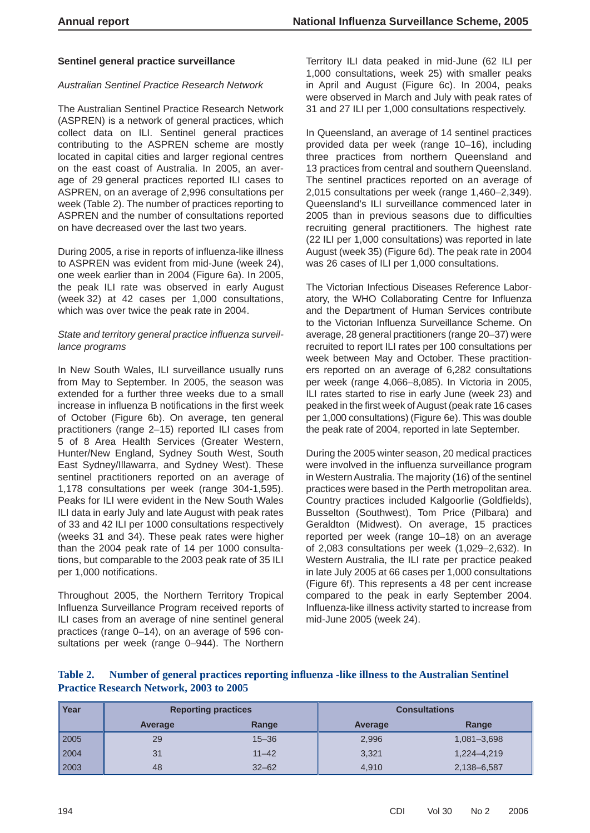#### **Sentinel general practice surveillance**

#### *Australian Sentinel Practice Research Network*

The Australian Sentinel Practice Research Network (ASPREN) is a network of general practices, which collect data on ILI. Sentinel general practices contributing to the ASPREN scheme are mostly located in capital cities and larger regional centres on the east coast of Australia. In 2005, an average of 29 general practices reported ILI cases to ASPREN, on an average of 2,996 consultations per week (Table 2). The number of practices reporting to ASPREN and the number of consultations reported on have decreased over the last two years.

During 2005, a rise in reports of influenza-like illness to ASPREN was evident from mid-June (week 24), one week earlier than in 2004 (Figure 6a). In 2005, the peak ILI rate was observed in early August (week 32) at 42 cases per 1,000 consultations, which was over twice the peak rate in 2004.

#### State and territory general practice influenza surveil*lance programs*

In New South Wales, ILI surveillance usually runs from May to September. In 2005, the season was extended for a further three weeks due to a small increase in influenza B notifications in the first week of October (Figure 6b). On average, ten general practitioners (range 2–15) reported ILI cases from 5 of 8 Area Health Services (Greater Western, Hunter/New England, Sydney South West, South East Sydney/Illawarra, and Sydney West). These sentinel practitioners reported on an average of 1,178 consultations per week (range 304-1,595). Peaks for ILI were evident in the New South Wales ILI data in early July and late August with peak rates of 33 and 42 ILI per 1000 consultations respectively (weeks 31 and 34). These peak rates were higher than the 2004 peak rate of 14 per 1000 consultations, but comparable to the 2003 peak rate of 35 ILI per 1,000 notifications.

Throughout 2005, the Northern Territory Tropical Influenza Surveillance Program received reports of ILI cases from an average of nine sentinel general practices (range 0–14), on an average of 596 consultations per week (range 0–944). The Northern

Territory ILI data peaked in mid-June (62 ILI per 1,000 consultations, week 25) with smaller peaks in April and August (Figure 6c). In 2004, peaks were observed in March and July with peak rates of 31 and 27 ILI per 1,000 consultations respectively.

In Queensland, an average of 14 sentinel practices provided data per week (range 10–16), including three practices from northern Queensland and 13 practices from central and southern Queensland. The sentinel practices reported on an average of 2,015 consultations per week (range 1,460–2,349). Queensland's ILI surveillance commenced later in 2005 than in previous seasons due to difficulties recruiting general practitioners. The highest rate (22 ILI per 1,000 consultations) was reported in late August (week 35) (Figure 6d). The peak rate in 2004 was 26 cases of ILI per 1,000 consultations.

The Victorian Infectious Diseases Reference Laboratory, the WHO Collaborating Centre for Influenza and the Department of Human Services contribute to the Victorian Influenza Surveillance Scheme. On average, 28 general practitioners (range 20–37) were recruited to report ILI rates per 100 consultations per week between May and October. These practitioners reported on an average of 6,282 consultations per week (range 4,066–8,085). In Victoria in 2005, ILI rates started to rise in early June (week 23) and peaked in the first week of August (peak rate 16 cases per 1,000 consultations) (Figure 6e). This was double the peak rate of 2004, reported in late September.

During the 2005 winter season, 20 medical practices were involved in the influenza surveillance program in Western Australia. The majority (16) of the sentinel practices were based in the Perth metropolitan area. Country practices included Kalgoorlie (Goldfields), Busselton (Southwest), Tom Price (Pilbara) and Geraldton (Midwest). On average, 15 practices reported per week (range 10–18) on an average of 2,083 consultations per week (1,029–2,632). In Western Australia, the ILI rate per practice peaked in late July 2005 at 66 cases per 1,000 consultations (Figure 6f). This represents a 48 per cent increase compared to the peak in early September 2004. Influenza-like illness activity started to increase from mid-June 2005 (week 24).

| Table 2. Number of general practices reporting influenza -like illness to the Australian Sentinel |  |
|---------------------------------------------------------------------------------------------------|--|
| <b>Practice Research Network, 2003 to 2005</b>                                                    |  |

| Year | <b>Reporting practices</b> |           | <b>Consultations</b> |             |
|------|----------------------------|-----------|----------------------|-------------|
|      | Average                    | Range     | Average              | Range       |
| 2005 | 29                         | $15 - 36$ | 2,996                | 1,081-3,698 |
| 2004 | 31                         | $11 - 42$ | 3,321                | 1,224-4,219 |
| 2003 | 48                         | $32 - 62$ | 4.910                | 2,138-6,587 |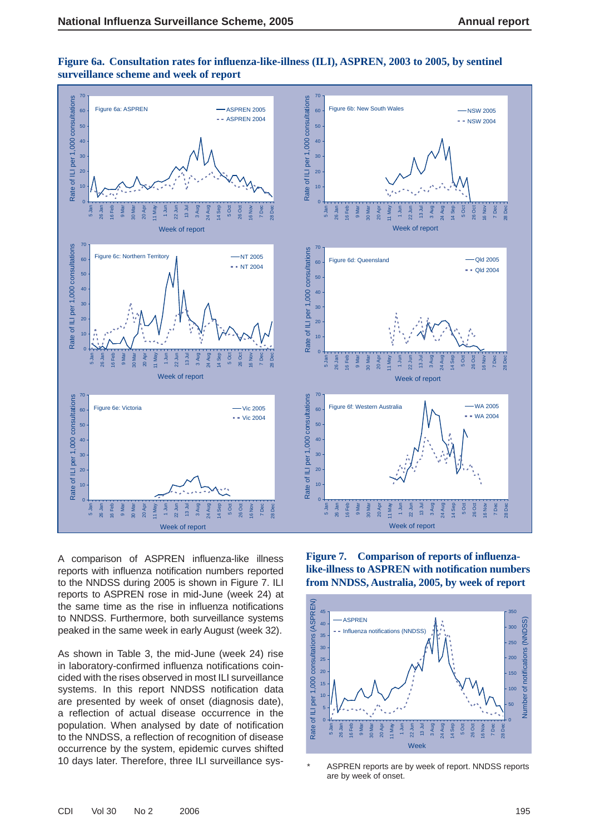

Figure 6a. Consultation rates for influenza-like-illness (ILI), ASPREN, 2003 to 2005, by sentinel **surveillance scheme and week of report**

A comparison of ASPREN influenza-like illness reports with influenza notification numbers reported to the NNDSS during 2005 is shown in Figure 7. ILI reports to ASPREN rose in mid-June (week 24) at the same time as the rise in influenza notifications to NNDSS. Furthermore, both surveillance systems peaked in the same week in early August (week 32).

As shown in Table 3, the mid-June (week 24) rise in laboratory-confirmed influenza notifications coincided with the rises observed in most ILI surveillance systems. In this report NNDSS notification data are presented by week of onset (diagnosis date), a reflection of actual disease occurrence in the population. When analysed by date of notification to the NNDSS, a reflection of recognition of disease occurrence by the system, epidemic curves shifted 10 days later. Therefore, three ILI surveillance sysFigure 7. Comparison of reports of influenza**like-illness to ASPREN with notification numbers from NNDSS, Australia, 2005, by week of report**



\* ASPREN reports are by week of report. NNDSS reports are by week of onset.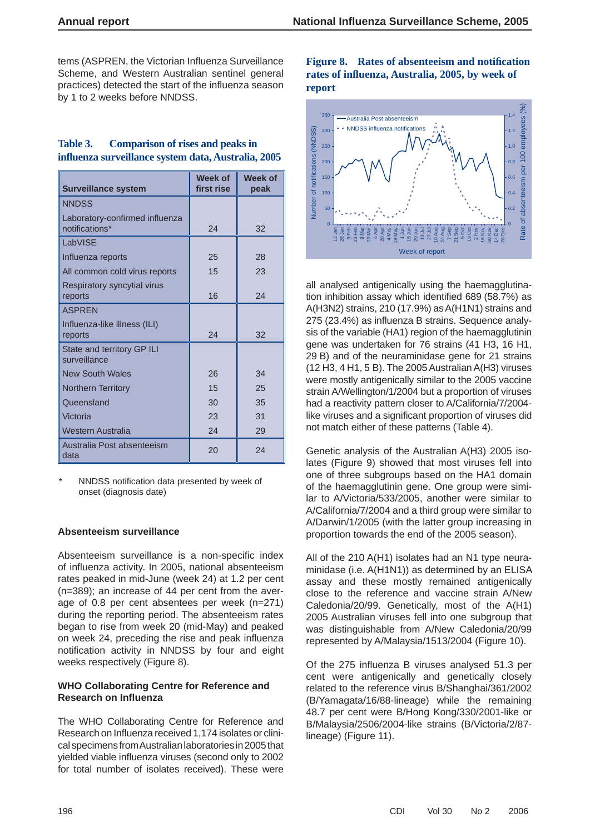tems (ASPREN, the Victorian Influenza Surveillance Scheme, and Western Australian sentinel general practices) detected the start of the influenza season by 1 to 2 weeks before NNDSS.

| Table 3. | <b>Comparison of rises and peaks in</b>             |  |
|----------|-----------------------------------------------------|--|
|          | influenza surveillance system data, Australia, 2005 |  |

| <b>Surveillance system</b>                       | Week of<br>first rise | <b>Week of</b><br>peak |
|--------------------------------------------------|-----------------------|------------------------|
| <b>NNDSS</b>                                     |                       |                        |
| Laboratory-confirmed influenza<br>notifications* | 24                    | 32                     |
| LabVISE                                          |                       |                        |
| Influenza reports                                | 25                    | 28                     |
| All common cold virus reports                    | 15                    | 23                     |
| Respiratory syncytial virus<br>reports           | 16                    | 24                     |
| <b>ASPREN</b>                                    |                       |                        |
| Influenza-like illness (ILI)<br>reports          | 24                    | 32                     |
| State and territory GP ILI<br>surveillance       |                       |                        |
| <b>New South Wales</b>                           | 26                    | 34                     |
| <b>Northern Territory</b>                        | 15                    | 25                     |
| Queensland                                       | 30                    | 35                     |
| Victoria                                         | 23                    | 31                     |
| Western Australia                                | 24                    | 29                     |
| Australia Post absenteeism<br>data               | 20                    | 24                     |

NNDSS notification data presented by week of onset (diagnosis date)

#### **Absenteeism surveillance**

Absenteeism surveillance is a non-specific index of influenza activity. In 2005, national absenteeism rates peaked in mid-June (week 24) at 1.2 per cent (n=389); an increase of 44 per cent from the average of 0.8 per cent absentees per week (n=271) during the reporting period. The absenteeism rates began to rise from week 20 (mid-May) and peaked on week 24, preceding the rise and peak influenza notification activity in NNDSS by four and eight weeks respectively (Figure 8).

#### **WHO Collaborating Centre for Reference and Research on Infl uenza**

The WHO Collaborating Centre for Reference and Research on Influenza received 1,174 isolates or clinical specimens from Australian laboratories in 2005 that vielded viable influenza viruses (second only to 2002 for total number of isolates received). These were

Figure 8. Rates of absenteeism and notification **rates of infl uenza, Australia, 2005, by week of report**



all analysed antigenically using the haemagglutination inhibition assay which identified 689 (58.7%) as A(H3N2) strains, 210 (17.9%) as A(H1N1) strains and 275 (23.4%) as influenza B strains. Sequence analysis of the variable (HA1) region of the haemagglutinin gene was undertaken for 76 strains (41 H3, 16 H1, 29 B) and of the neuraminidase gene for 21 strains (12 H3, 4 H1, 5 B). The 2005 Australian A(H3) viruses were mostly antigenically similar to the 2005 vaccine strain A/Wellington/1/2004 but a proportion of viruses had a reactivity pattern closer to A/California/7/2004 like viruses and a significant proportion of viruses did not match either of these patterns (Table 4).

Genetic analysis of the Australian A(H3) 2005 isolates (Figure 9) showed that most viruses fell into one of three subgroups based on the HA1 domain of the haemagglutinin gene. One group were similar to A/Victoria/533/2005, another were similar to A/California/7/2004 and a third group were similar to A/Darwin/1/2005 (with the latter group increasing in proportion towards the end of the 2005 season).

All of the 210 A(H1) isolates had an N1 type neuraminidase (i.e. A(H1N1)) as determined by an ELISA assay and these mostly remained antigenically close to the reference and vaccine strain A/New Caledonia/20/99. Genetically, most of the A(H1) 2005 Australian viruses fell into one subgroup that was distinguishable from A/New Caledonia/20/99 represented by A/Malaysia/1513/2004 (Figure 10).

Of the 275 influenza B viruses analysed 51.3 per cent were antigenically and genetically closely related to the reference virus B/Shanghai/361/2002 (B/Yamagata/16/88-lineage) while the remaining 48.7 per cent were B/Hong Kong/330/2001-like or B/Malaysia/2506/2004-like strains (B/Victoria/2/87 lineage) (Figure 11).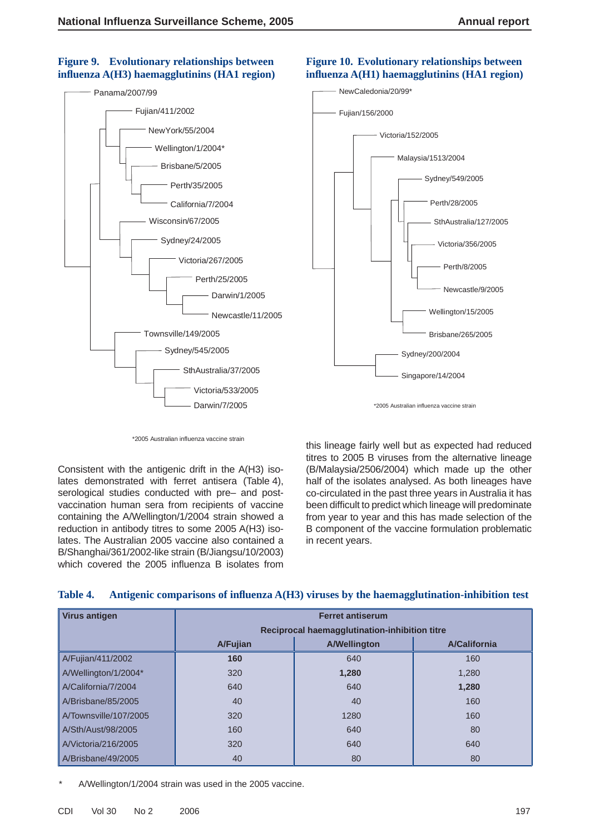### **Figure 9. Evolutionary relationships between infl uenza A(H3) haemagglutinins (HA1 region)**





**Figure 10. Evolutionary relationships between infl uenza A(H1) haemagglutinins (HA1 region)**

\*2005 Australian influenza vaccine strain

Consistent with the antigenic drift in the A(H3) isolates demonstrated with ferret antisera (Table 4), serological studies conducted with pre– and postvaccination human sera from recipients of vaccine containing the A/Wellington/1/2004 strain showed a reduction in antibody titres to some 2005 A(H3) isolates. The Australian 2005 vaccine also contained a B/Shanghai/361/2002-like strain (B/Jiangsu/10/2003) which covered the 2005 influenza B isolates from

this lineage fairly well but as expected had reduced titres to 2005 B viruses from the alternative lineage (B/Malaysia/2506/2004) which made up the other half of the isolates analysed. As both lineages have co-circulated in the past three years in Australia it has been difficult to predict which lineage will predominate from year to year and this has made selection of the B component of the vaccine formulation problematic in recent years.

| <b>Virus antigen</b>  | <b>Ferret antiserum</b>                       |                     |                     |  |
|-----------------------|-----------------------------------------------|---------------------|---------------------|--|
|                       | Reciprocal haemagglutination-inhibition titre |                     |                     |  |
|                       | A/Fujian                                      | <b>A/Wellington</b> | <b>A/California</b> |  |
| A/Fujian/411/2002     | 160                                           | 640                 | 160                 |  |
| A/Wellington/1/2004*  | 320                                           | 1,280               | 1,280               |  |
| A/California/7/2004   | 640                                           | 640                 | 1,280               |  |
| A/Brisbane/85/2005    | 40                                            | 40                  | 160                 |  |
| A/Townsville/107/2005 | 320                                           | 1280                | 160                 |  |
| A/Sth/Aust/98/2005    | 160                                           | 640                 | 80                  |  |
| A/Victoria/216/2005   | 320                                           | 640                 | 640                 |  |
| A/Brisbane/49/2005    | 40                                            | 80                  | 80                  |  |

#### Table 4. Antigenic comparisons of influenza A(H3) viruses by the haemagglutination-inhibition test

A/Wellington/1/2004 strain was used in the 2005 vaccine.

<sup>\*2005</sup> Australian influenza vaccine strain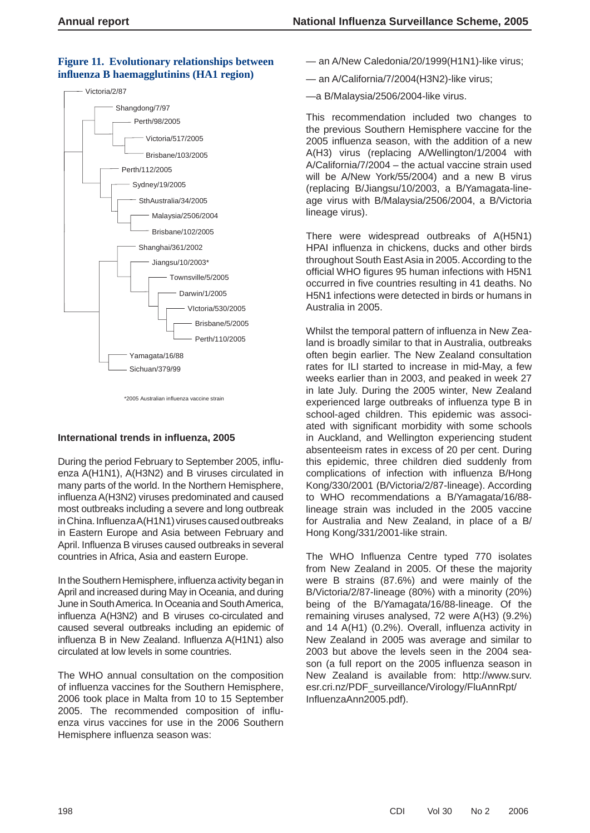# **Figure 11. Evolutionary relationships between infl uenza B haemagglutinins (HA1 region)**



<sup>\*2005</sup> Australian influenza vaccine strain

#### **International trends in infl uenza, 2005**

During the period February to September 2005, influenza A(H1N1), A(H3N2) and B viruses circulated in many parts of the world. In the Northern Hemisphere, influenza A(H3N2) viruses predominated and caused most outbreaks including a severe and long outbreak in China. Influenza A(H1N1) viruses caused outbreaks in Eastern Europe and Asia between February and April. Influenza B viruses caused outbreaks in several countries in Africa, Asia and eastern Europe.

In the Southern Hemisphere, influenza activity began in April and increased during May in Oceania, and during June in South America. In Oceania and South America, influenza A(H3N2) and B viruses co-circulated and caused several outbreaks including an epidemic of influenza B in New Zealand. Influenza A(H1N1) also circulated at low levels in some countries.

The WHO annual consultation on the composition of influenza vaccines for the Southern Hemisphere, 2006 took place in Malta from 10 to 15 September 2005. The recommended composition of influenza virus vaccines for use in the 2006 Southern Hemisphere influenza season was:

- an A/New Caledonia/20/1999(H1N1)-like virus;
- an A/California/7/2004(H3N2)-like virus;
- —a B/Malaysia/2506/2004-like virus.

This recommendation included two changes to the previous Southern Hemisphere vaccine for the 2005 influenza season, with the addition of a new A(H3) virus (replacing A/Wellington/1/2004 with A/California/7/2004 – the actual vaccine strain used will be A/New York/55/2004) and a new B virus (replacing B/Jiangsu/10/2003, a B/Yamagata-lineage virus with B/Malaysia/2506/2004, a B/Victoria lineage virus).

There were widespread outbreaks of A(H5N1) HPAI influenza in chickens, ducks and other birds throughout South East Asia in 2005. According to the official WHO figures 95 human infections with H5N1 occurred in five countries resulting in 41 deaths. No H5N1 infections were detected in birds or humans in Australia in 2005.

Whilst the temporal pattern of influenza in New Zealand is broadly similar to that in Australia, outbreaks often begin earlier. The New Zealand consultation rates for ILI started to increase in mid-May, a few weeks earlier than in 2003, and peaked in week 27 in late July. During the 2005 winter, New Zealand experienced large outbreaks of influenza type B in school-aged children. This epidemic was associated with significant morbidity with some schools in Auckland, and Wellington experiencing student absenteeism rates in excess of 20 per cent. During this epidemic, three children died suddenly from complications of infection with influenza B/Hong Kong/330/2001 (B/Victoria/2/87-lineage). According to WHO recommendations a B/Yamagata/16/88 lineage strain was included in the 2005 vaccine for Australia and New Zealand, in place of a B/ Hong Kong/331/2001-like strain.

The WHO Influenza Centre typed 770 isolates from New Zealand in 2005. Of these the majority were B strains (87.6%) and were mainly of the B/Victoria/2/87-lineage (80%) with a minority (20%) being of the B/Yamagata/16/88-lineage. Of the remaining viruses analysed, 72 were A(H3) (9.2%) and 14  $A(H1)$  (0.2%). Overall, influenza activity in New Zealand in 2005 was average and similar to 2003 but above the levels seen in the 2004 season (a full report on the 2005 influenza season in New Zealand is available from: http://www.surv. esr.cri.nz/PDF\_surveillance/Virology/FluAnnRpt/ InfluenzaAnn2005.pdf).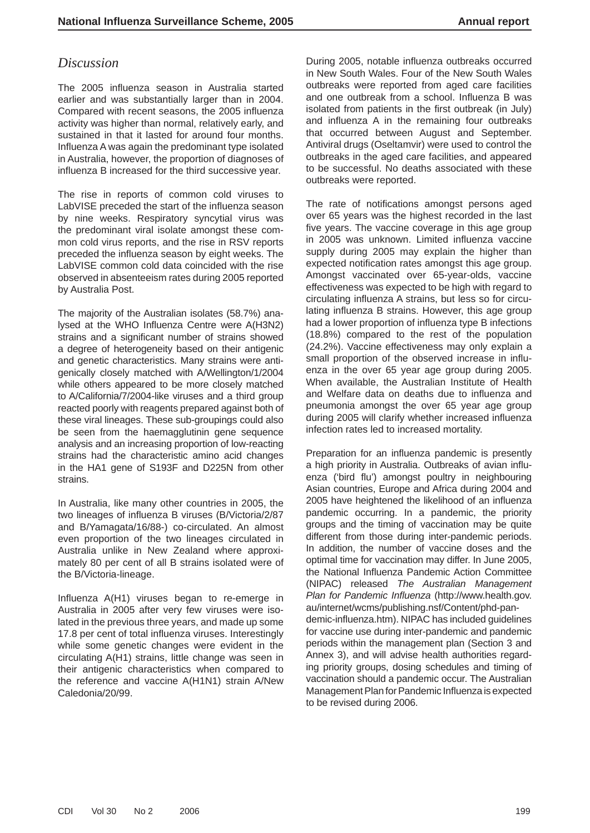# *Discussion*

The 2005 influenza season in Australia started earlier and was substantially larger than in 2004. Compared with recent seasons, the 2005 influenza activity was higher than normal, relatively early, and sustained in that it lasted for around four months. Influenza A was again the predominant type isolated in Australia, however, the proportion of diagnoses of influenza B increased for the third successive year.

The rise in reports of common cold viruses to LabVISE preceded the start of the influenza season by nine weeks. Respiratory syncytial virus was the predominant viral isolate amongst these common cold virus reports, and the rise in RSV reports preceded the influenza season by eight weeks. The LabVISE common cold data coincided with the rise observed in absenteeism rates during 2005 reported by Australia Post.

The majority of the Australian isolates (58.7%) analysed at the WHO Influenza Centre were A(H3N2) strains and a significant number of strains showed a degree of heterogeneity based on their antigenic and genetic characteristics. Many strains were antigenically closely matched with A/Wellington/1/2004 while others appeared to be more closely matched to A/California/7/2004-like viruses and a third group reacted poorly with reagents prepared against both of these viral lineages. These sub-groupings could also be seen from the haemagglutinin gene sequence analysis and an increasing proportion of low-reacting strains had the characteristic amino acid changes in the HA1 gene of S193F and D225N from other strains.

In Australia, like many other countries in 2005, the two lineages of influenza B viruses (B/Victoria/2/87 and B/Yamagata/16/88-) co-circulated. An almost even proportion of the two lineages circulated in Australia unlike in New Zealand where approximately 80 per cent of all B strains isolated were of the B/Victoria-lineage.

Influenza A(H1) viruses began to re-emerge in Australia in 2005 after very few viruses were isolated in the previous three years, and made up some 17.8 per cent of total influenza viruses. Interestingly while some genetic changes were evident in the circulating A(H1) strains, little change was seen in their antigenic characteristics when compared to the reference and vaccine A(H1N1) strain A/New Caledonia/20/99.

During 2005, notable influenza outbreaks occurred in New South Wales. Four of the New South Wales outbreaks were reported from aged care facilities and one outbreak from a school. Influenza B was isolated from patients in the first outbreak (in July) and influenza A in the remaining four outbreaks that occurred between August and September. Antiviral drugs (Oseltamvir) were used to control the outbreaks in the aged care facilities, and appeared to be successful. No deaths associated with these outbreaks were reported.

The rate of notifications amongst persons aged over 65 years was the highest recorded in the last five years. The vaccine coverage in this age group in 2005 was unknown. Limited influenza vaccine supply during 2005 may explain the higher than expected notification rates amongst this age group. Amongst vaccinated over 65-year-olds, vaccine effectiveness was expected to be high with regard to circulating influenza A strains, but less so for circulating influenza B strains. However, this age group had a lower proportion of influenza type B infections (18.8%) compared to the rest of the population (24.2%). Vaccine effectiveness may only explain a small proportion of the observed increase in influenza in the over 65 year age group during 2005. When available, the Australian Institute of Health and Welfare data on deaths due to influenza and pneumonia amongst the over 65 year age group during 2005 will clarify whether increased influenza infection rates led to increased mortality.

Preparation for an influenza pandemic is presently a high priority in Australia. Outbreaks of avian influenza ('bird flu') amongst poultry in neighbouring Asian countries, Europe and Africa during 2004 and 2005 have heightened the likelihood of an influenza pandemic occurring. In a pandemic, the priority groups and the timing of vaccination may be quite different from those during inter-pandemic periods. In addition, the number of vaccine doses and the optimal time for vaccination may differ. In June 2005, the National Influenza Pandemic Action Committee (NIPAC) released *The Australian Management Plan for Pandemic Influenza (http://www.health.gov.* au/internet/wcms/publishing.nsf/Content/phd-pandemic-influenza.htm). NIPAC has included quidelines for vaccine use during inter-pandemic and pandemic periods within the management plan (Section 3 and Annex 3), and will advise health authorities regarding priority groups, dosing schedules and timing of vaccination should a pandemic occur. The Australian Management Plan for Pandemic Influenza is expected to be revised during 2006.